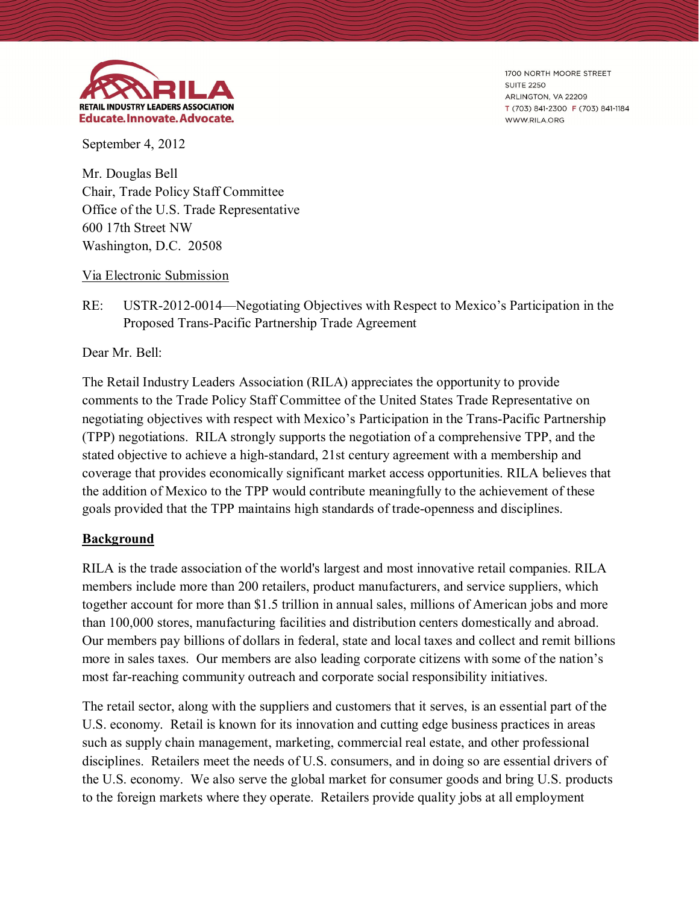

1700 NORTH MOORE STREET **SUITE 2250** ARLINGTON, VA 22209 T (703) 841-2300 F (703) 841-1184 WWW.RILA.ORG

September 4, 2012

Mr. Douglas Bell Chair, Trade Policy Staff Committee Office of the U.S. Trade Representative 600 17th Street NW Washington, D.C. 20508

#### Via Electronic Submission

RE: USTR-2012-0014—Negotiating Objectives with Respect to Mexico's Participation in the Proposed Trans-Pacific Partnership Trade Agreement

Dear Mr. Bell:

The Retail Industry Leaders Association (RILA) appreciates the opportunity to provide comments to the Trade Policy Staff Committee of the United States Trade Representative on negotiating objectives with respect with Mexico's Participation in the Trans-Pacific Partnership (TPP) negotiations. RILA strongly supports the negotiation of a comprehensive TPP, and the stated objective to achieve a high-standard, 21st century agreement with a membership and coverage that provides economically significant market access opportunities. RILA believes that the addition of Mexico to the TPP would contribute meaningfully to the achievement of these goals provided that the TPP maintains high standards of trade-openness and disciplines.

### **Background**

RILA is the trade association of the world's largest and most innovative retail companies. RILA members include more than 200 retailers, product manufacturers, and service suppliers, which together account for more than \$1.5 trillion in annual sales, millions of American jobs and more than 100,000 stores, manufacturing facilities and distribution centers domestically and abroad. Our members pay billions of dollars in federal, state and local taxes and collect and remit billions more in sales taxes. Our members are also leading corporate citizens with some of the nation's most far-reaching community outreach and corporate social responsibility initiatives.

The retail sector, along with the suppliers and customers that it serves, is an essential part of the U.S. economy. Retail is known for its innovation and cutting edge business practices in areas such as supply chain management, marketing, commercial real estate, and other professional disciplines. Retailers meet the needs of U.S. consumers, and in doing so are essential drivers of the U.S. economy. We also serve the global market for consumer goods and bring U.S. products to the foreign markets where they operate. Retailers provide quality jobs at all employment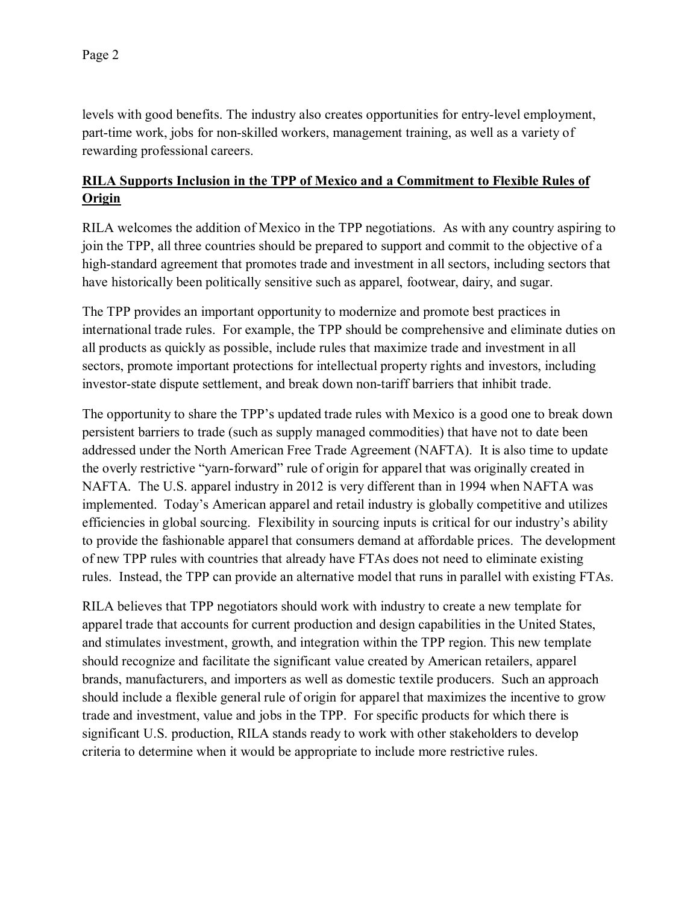levels with good benefits. The industry also creates opportunities for entry-level employment, part-time work, jobs for non-skilled workers, management training, as well as a variety of rewarding professional careers.

# **RILA Supports Inclusion in the TPP of Mexico and a Commitment to Flexible Rules of Origin**

RILA welcomes the addition of Mexico in the TPP negotiations. As with any country aspiring to join the TPP, all three countries should be prepared to support and commit to the objective of a high-standard agreement that promotes trade and investment in all sectors, including sectors that have historically been politically sensitive such as apparel, footwear, dairy, and sugar.

The TPP provides an important opportunity to modernize and promote best practices in international trade rules. For example, the TPP should be comprehensive and eliminate duties on all products as quickly as possible, include rules that maximize trade and investment in all sectors, promote important protections for intellectual property rights and investors, including investor-state dispute settlement, and break down non-tariff barriers that inhibit trade.

The opportunity to share the TPP's updated trade rules with Mexico is a good one to break down persistent barriers to trade (such as supply managed commodities) that have not to date been addressed under the North American Free Trade Agreement (NAFTA). It is also time to update the overly restrictive "yarn-forward" rule of origin for apparel that was originally created in NAFTA. The U.S. apparel industry in 2012 is very different than in 1994 when NAFTA was implemented. Today's American apparel and retail industry is globally competitive and utilizes efficiencies in global sourcing. Flexibility in sourcing inputs is critical for our industry's ability to provide the fashionable apparel that consumers demand at affordable prices. The development of new TPP rules with countries that already have FTAs does not need to eliminate existing rules. Instead, the TPP can provide an alternative model that runs in parallel with existing FTAs.

RILA believes that TPP negotiators should work with industry to create a new template for apparel trade that accounts for current production and design capabilities in the United States, and stimulates investment, growth, and integration within the TPP region. This new template should recognize and facilitate the significant value created by American retailers, apparel brands, manufacturers, and importers as well as domestic textile producers. Such an approach should include a flexible general rule of origin for apparel that maximizes the incentive to grow trade and investment, value and jobs in the TPP. For specific products for which there is significant U.S. production, RILA stands ready to work with other stakeholders to develop criteria to determine when it would be appropriate to include more restrictive rules.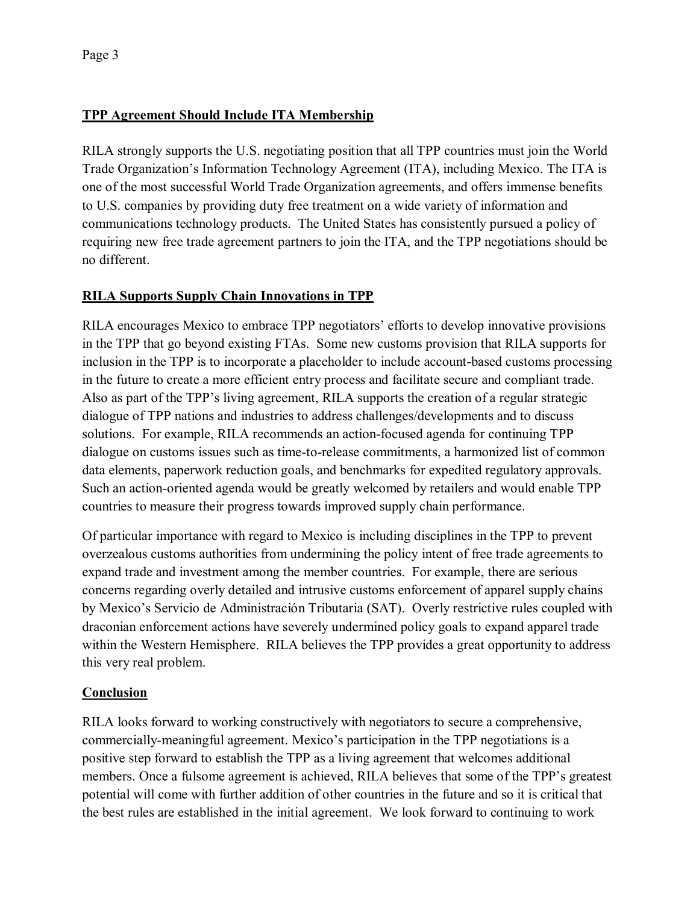## **TPP Agreement Should Include ITA Membership**

RILA strongly supports the U.S. negotiating position that all TPP countries must join the World Trade Organization's Information Technology Agreement (ITA), including Mexico. The ITA is one of the most successful World Trade Organization agreements, and offers immense benefits to U.S. companies by providing duty free treatment on a wide variety of information and communications technology products. The United States has consistently pursued a policy of requiring new free trade agreement partners to join the ITA, and the TPP negotiations should be no different.

### **RILA Supports Supply Chain Innovations in TPP**

RILA encourages Mexico to embrace TPP negotiators' efforts to develop innovative provisions in the TPP that go beyond existing FTAs. Some new customs provision that RILA supports for inclusion in the TPP is to incorporate a placeholder to include account-based customs processing in the future to create a more efficient entry process and facilitate secure and compliant trade. Also as part of the TPP's living agreement, RILA supports the creation of a regular strategic dialogue of TPP nations and industries to address challenges/developments and to discuss solutions. For example, RILA recommends an action-focused agenda for continuing TPP dialogue on customs issues such as time-to-release commitments, a harmonized list of common data elements, paperwork reduction goals, and benchmarks for expedited regulatory approvals. Such an action-oriented agenda would be greatly welcomed by retailers and would enable TPP countries to measure their progress towards improved supply chain performance.

Of particular importance with regard to Mexico is including disciplines in the TPP to prevent overzealous customs authorities from undermining the policy intent of free trade agreements to expand trade and investment among the member countries. For example, there are serious concerns regarding overly detailed and intrusive customs enforcement of apparel supply chains by Mexico's Servicio de Administración Tributaria (SAT). Overly restrictive rules coupled with draconian enforcement actions have severely undermined policy goals to expand apparel trade within the Western Hemisphere. RILA believes the TPP provides a great opportunity to address this very real problem.

### **Conclusion**

RILA looks forward to working constructively with negotiators to secure a comprehensive, commercially-meaningful agreement. Mexico's participation in the TPP negotiations is a positive step forward to establish the TPP as a living agreement that welcomes additional members. Once a fulsome agreement is achieved, RILA believes that some of the TPP's greatest potential will come with further addition of other countries in the future and so it is critical that the best rules are established in the initial agreement. We look forward to continuing to work